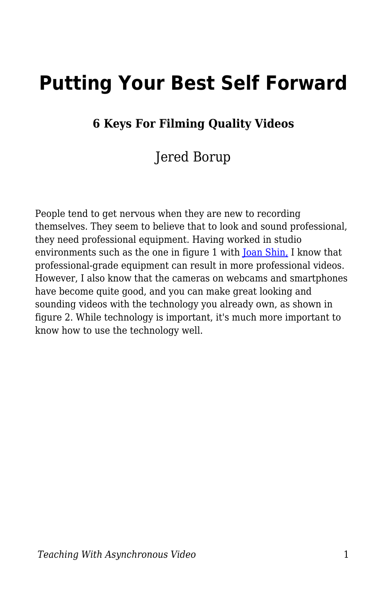# **Putting Your Best Self Forward**

#### **6 Keys For Filming Quality Videos**

#### Jered Borup

People tend to get nervous when they are new to recording themselves. They seem to believe that to look and sound professional, they need professional equipment. Having worked in studio environments such as the one in figure 1 with [Joan Shin,](https://cehd.gmu.edu/people/faculty/jshin23) I know that professional-grade equipment can result in more professional videos. However, I also know that the cameras on webcams and smartphones have become quite good, and you can make great looking and sounding videos with the technology you already own, as shown in figure 2. While technology is important, it's much more important to know how to use the technology well.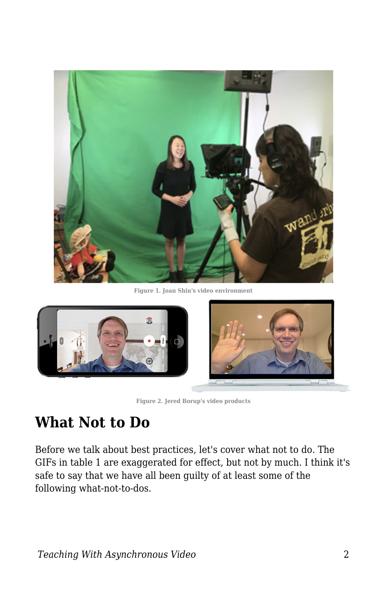

**Figure 1. Joan Shin's video environment**



**Figure 2. Jered Borup's video products**

### **What Not to Do**

Before we talk about best practices, let's cover what not to do. The GIFs in table 1 are exaggerated for effect, but not by much. I think it's safe to say that we have all been guilty of at least some of the following what-not-to-dos.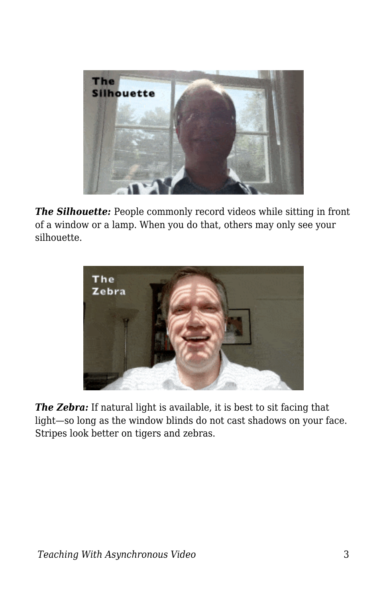

*The Silhouette:* People commonly record videos while sitting in front of a window or a lamp. When you do that, others may only see your silhouette.



*The Zebra:* If natural light is available, it is best to sit facing that light—so long as the window blinds do not cast shadows on your face. Stripes look better on tigers and zebras.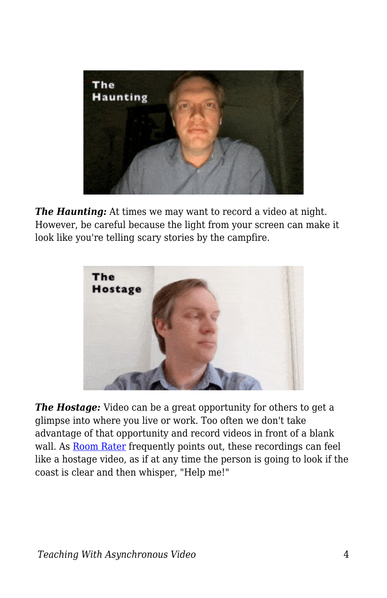

*The Haunting:* At times we may want to record a video at night. However, be careful because the light from your screen can make it look like you're telling scary stories by the campfire.



*The Hostage:* Video can be a great opportunity for others to get a glimpse into where you live or work. Too often we don't take advantage of that opportunity and record videos in front of a blank wall. As **Room Rater** frequently points out, these recordings can feel like a hostage video, as if at any time the person is going to look if the coast is clear and then whisper, "Help me!"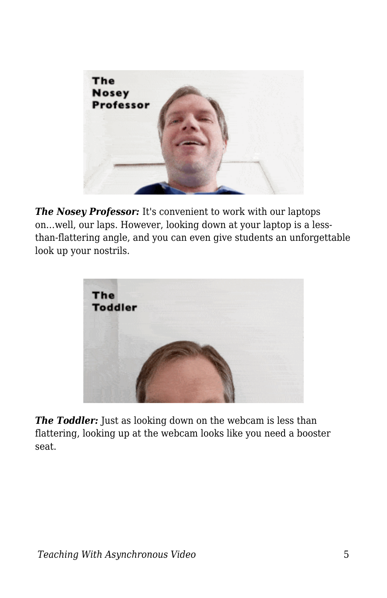

*The Nosey Professor: It's convenient to work with our laptops* on…well, our laps. However, looking down at your laptop is a lessthan-flattering angle, and you can even give students an unforgettable look up your nostrils.



**The Toddler:** Just as looking down on the webcam is less than flattering, looking up at the webcam looks like you need a booster seat.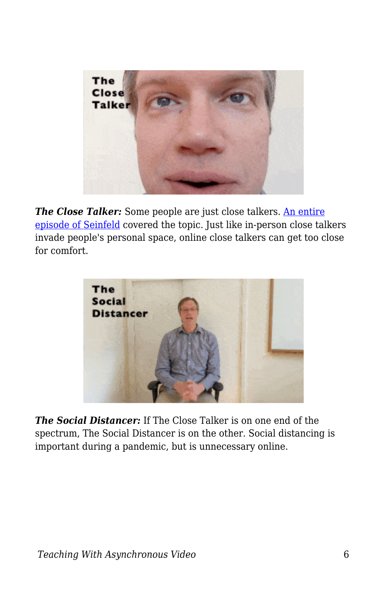

**The Close Talker:** Some people are just close talkers. [An entire](https://youtu.be/sRZ5RpsytRA?t=19) [episode of Seinfeld](https://youtu.be/sRZ5RpsytRA?t=19) covered the topic. Just like in-person close talkers invade people's personal space, online close talkers can get too close for comfort.



*The Social Distancer:* If The Close Talker is on one end of the spectrum, The Social Distancer is on the other. Social distancing is important during a pandemic, but is unnecessary online.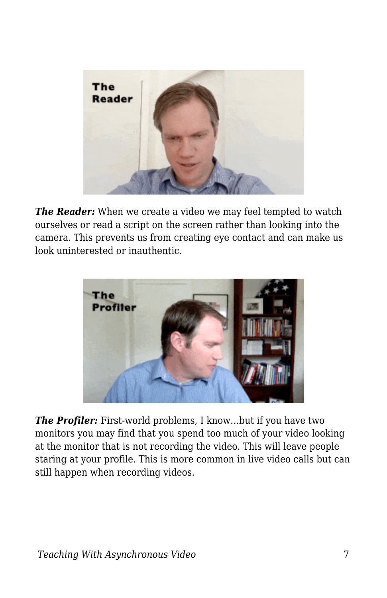

*The Reader:* When we create a video we may feel tempted to watch ourselves or read a script on the screen rather than looking into the camera. This prevents us from creating eye contact and can make us look uninterested or inauthentic.



**The Profiler:** First-world problems, I know...but if you have two monitors you may find that you spend too much of your video looking at the monitor that is not recording the video. This will leave people staring at your profile. This is more common in live video calls but can still happen when recording videos.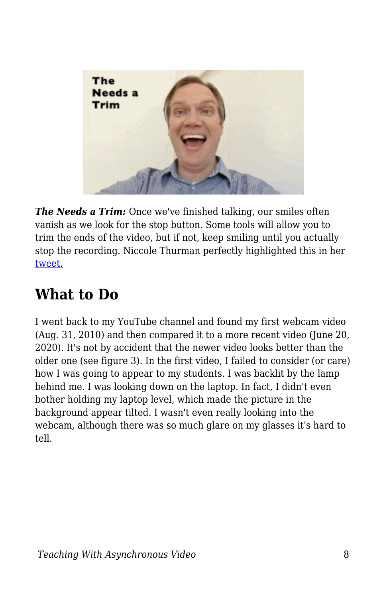

*The Needs a Trim:* Once we've finished talking, our smiles often vanish as we look for the stop button. Some tools will allow you to trim the ends of the video, but if not, keep smiling until you actually stop the recording. Niccole Thurman perfectly highlighted this in her [tweet.](https://twitter.com/niccolethurman/status/1157427983042269184)

### **What to Do**

I went back to my YouTube channel and found my first webcam video (Aug. 31, 2010) and then compared it to a more recent video (June 20, 2020). It's not by accident that the newer video looks better than the older one (see figure 3). In the first video, I failed to consider (or care) how I was going to appear to my students. I was backlit by the lamp behind me. I was looking down on the laptop. In fact, I didn't even bother holding my laptop level, which made the picture in the background appear tilted. I wasn't even really looking into the webcam, although there was so much glare on my glasses it's hard to tell.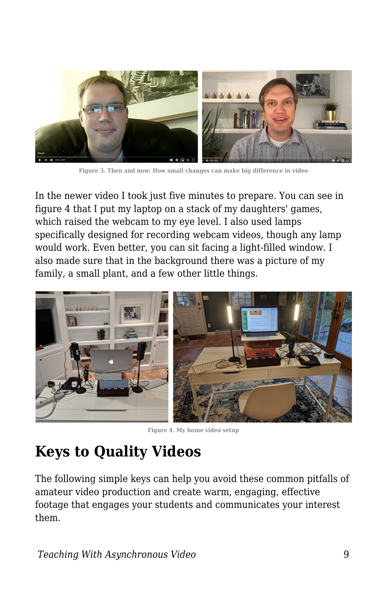

**Figure 3. Then and now: How small changes can make big difference in video**

In the newer video I took just five minutes to prepare. You can see in figure 4 that I put my laptop on a stack of my daughters' games, which raised the webcam to my eye level. I also used lamps specifically designed for recording webcam videos, though any lamp would work. Even better, you can sit facing a light-filled window. I also made sure that in the background there was a picture of my family, a small plant, and a few other little things.



**Figure 4. My home video setup**

# **Keys to Quality Videos**

The following simple keys can help you avoid these common pitfalls of amateur video production and create warm, engaging, effective footage that engages your students and communicates your interest them.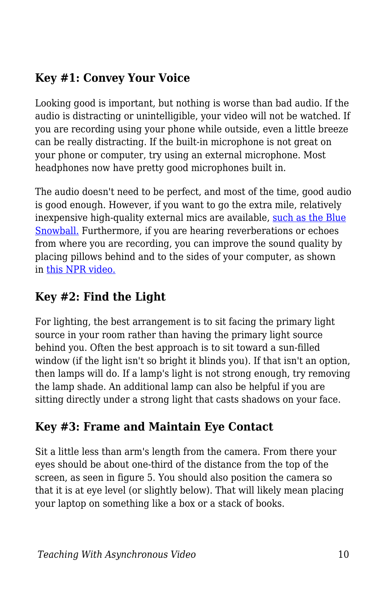#### **Key #1: Convey Your Voice**

Looking good is important, but nothing is worse than bad audio. If the audio is distracting or unintelligible, your video will not be watched. If you are recording using your phone while outside, even a little breeze can be really distracting. If the built-in microphone is not great on your phone or computer, try using an external microphone. Most headphones now have pretty good microphones built in.

The audio doesn't need to be perfect, and most of the time, good audio is good enough. However, if you want to go the extra mile, relatively inexpensive high-quality external mics are available, [such as the Blue](https://www.amazon.com/Blue-Snowball-Microphone-Gloss-Black/dp/B002OO18NS/ref=sr_1_3?dchild=1&keywords=snowball+mic&qid=1592082386&sr=8-3) [Snowball.](https://www.amazon.com/Blue-Snowball-Microphone-Gloss-Black/dp/B002OO18NS/ref=sr_1_3?dchild=1&keywords=snowball+mic&qid=1592082386&sr=8-3) Furthermore, if you are hearing reverberations or echoes from where you are recording, you can improve the sound quality by placing pillows behind and to the sides of your computer, as shown in [this NPR video.](https://youtu.be/sfgbtBBumjo?t=59)

#### **Key #2: Find the Light**

For lighting, the best arrangement is to sit facing the primary light source in your room rather than having the primary light source behind you. Often the best approach is to sit toward a sun-filled window (if the light isn't so bright it blinds you). If that isn't an option, then lamps will do. If a lamp's light is not strong enough, try removing the lamp shade. An additional lamp can also be helpful if you are sitting directly under a strong light that casts shadows on your face.

#### **Key #3: Frame and Maintain Eye Contact**

Sit a little less than arm's length from the camera. From there your eyes should be about one-third of the distance from the top of the screen, as seen in figure 5. You should also position the camera so that it is at eye level (or slightly below). That will likely mean placing your laptop on something like a box or a stack of books.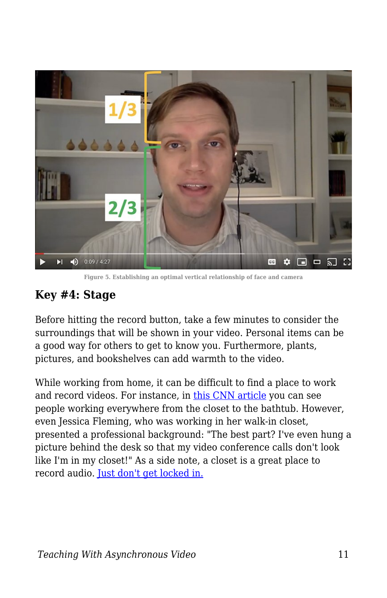

**Figure 5. Establishing an optimal vertical relationship of face and camera**

#### **Key #4: Stage**

Before hitting the record button, take a few minutes to consider the surroundings that will be shown in your video. Personal items can be a good way for others to get to know you. Furthermore, plants, pictures, and bookshelves can add warmth to the video.

While working from home, it can be difficult to find a place to work and record videos. For instance, in [this CNN article](https://www.cnn.com/2020/03/17/business/work-from-home-setups-coronavirus-trnd/index.html) you can see people working everywhere from the closet to the bathtub. However, even Jessica Fleming, who was working in her walk-in closet, presented a professional background: "The best part? I've even hung a picture behind the desk so that my video conference calls don't look like I'm in my closet!" As a side note, a closet is a great place to record audio. [Just don't get locked in.](https://www.thisamericanlife.org/528/the-radio-drama-episode/prologue-2)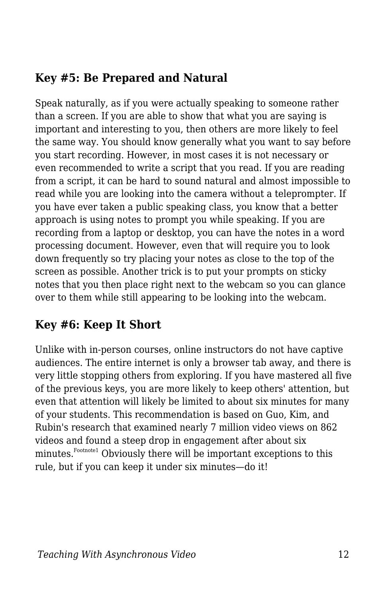#### **Key #5: Be Prepared and Natural**

Speak naturally, as if you were actually speaking to someone rather than a screen. If you are able to show that what you are saying is important and interesting to you, then others are more likely to feel the same way. You should know generally what you want to say before you start recording. However, in most cases it is not necessary or even recommended to write a script that you read. If you are reading from a script, it can be hard to sound natural and almost impossible to read while you are looking into the camera without a teleprompter. If you have ever taken a public speaking class, you know that a better approach is using notes to prompt you while speaking. If you are recording from a laptop or desktop, you can have the notes in a word processing document. However, even that will require you to look down frequently so try placing your notes as close to the top of the screen as possible. Another trick is to put your prompts on sticky notes that you then place right next to the webcam so you can glance over to them while still appearing to be looking into the webcam.

#### **Key #6: Keep It Short**

Unlike with in-person courses, online instructors do not have captive audiences. The entire internet is only a browser tab away, and there is very little stopping others from exploring. If you have mastered all five of the previous keys, you are more likely to keep others' attention, but even that attention will likely be limited to about six minutes for many of your students. This recommendation is based on Guo, Kim, and Rubin's research that examined nearly 7 million video views on 862 videos and found a steep drop in engagement after about six minutes.Footnote1 Obviously there will be important exceptions to this rule, but if you can keep it under six minutes—do it!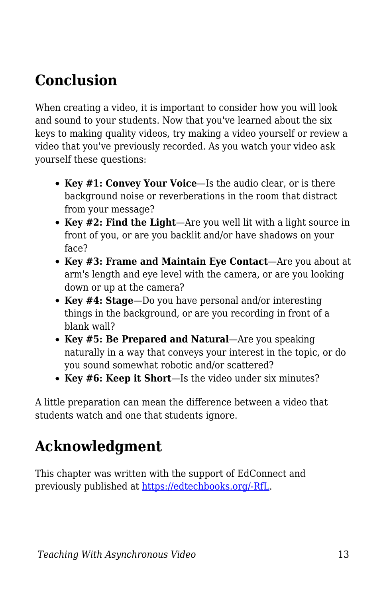## **Conclusion**

When creating a video, it is important to consider how you will look and sound to your students. Now that you've learned about the six keys to making quality videos, try making a video yourself or review a video that you've previously recorded. As you watch your video ask yourself these questions:

- **Key #1: Convey Your Voice**—Is the audio clear, or is there background noise or reverberations in the room that distract from your message?
- **Key #2: Find the Light**—Are you well lit with a light source in front of you, or are you backlit and/or have shadows on your face?
- **Key #3: Frame and Maintain Eye Contact**—Are you about at arm's length and eye level with the camera, or are you looking down or up at the camera?
- **Key #4: Stage**—Do you have personal and/or interesting things in the background, or are you recording in front of a blank wall?
- **Key #5: Be Prepared and Natural**—Are you speaking naturally in a way that conveys your interest in the topic, or do you sound somewhat robotic and/or scattered?
- **Key #6: Keep it Short**—Is the video under six minutes?

A little preparation can mean the difference between a video that students watch and one that students ignore.

## **Acknowledgment**

This chapter was written with the support of EdConnect and previously published at [https://edtechbooks.org/-RfL.](https://er.educause.edu/blogs/2021/2/putting-your-best-self-forward-6-keys-for-filming-quality-videos)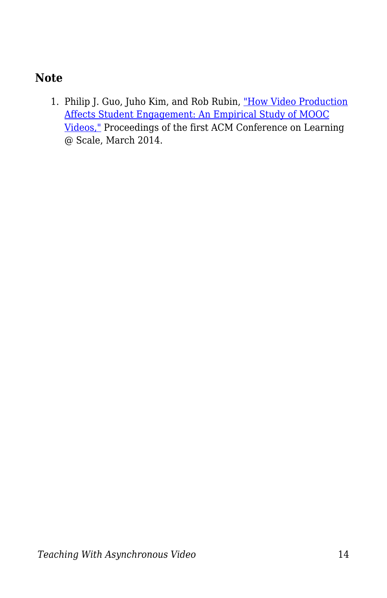#### **Note**

1. Philip J. Guo, Juho Kim, and Rob Rubin, ["How Video Production](https://www.researchgate.net/publication/262393281_How_video_production_affects_student_engagement_An_empirical_study_of_MOOC_videos) [Affects Student Engagement: An Empirical Study of MOOC](https://www.researchgate.net/publication/262393281_How_video_production_affects_student_engagement_An_empirical_study_of_MOOC_videos) [Videos,"](https://www.researchgate.net/publication/262393281_How_video_production_affects_student_engagement_An_empirical_study_of_MOOC_videos) Proceedings of the first ACM Conference on Learning @ Scale, March 2014.